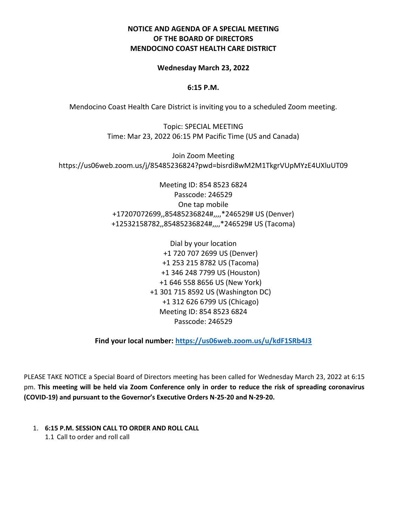## **NOTICE AND AGENDA OF A SPECIAL MEETING OF THE BOARD OF DIRECTORS MENDOCINO COAST HEALTH CARE DISTRICT**

#### **Wednesday March 23, 2022**

#### **6:15 P.M.**

Mendocino Coast Health Care District is inviting you to a scheduled Zoom meeting.

Topic: SPECIAL MEETING Time: Mar 23, 2022 06:15 PM Pacific Time (US and Canada)

Join Zoom Meeting https://us06web.zoom.us/j/85485236824?pwd=bisrdi8wM2M1TkgrVUpMYzE4UXluUT09

> Meeting ID: 854 8523 6824 Passcode: 246529 One tap mobile +17207072699,,85485236824#,,,,\*246529# US (Denver) +12532158782,,85485236824#,,,,\*246529# US (Tacoma)

> > Dial by your location +1 720 707 2699 US (Denver) +1 253 215 8782 US (Tacoma) +1 346 248 7799 US (Houston) +1 646 558 8656 US (New York) +1 301 715 8592 US (Washington DC) +1 312 626 6799 US (Chicago) Meeting ID: 854 8523 6824 Passcode: 246529

**Find your local number:<https://us06web.zoom.us/u/kdF1SRb4J3>**

PLEASE TAKE NOTICE a Special Board of Directors meeting has been called for Wednesday March 23, 2022 at 6:15 pm. **This meeting will be held via Zoom Conference only in order to reduce the risk of spreading coronavirus (COVID-19) and pursuant to the Governor's Executive Orders N-25-20 and N-29-20.**

1. **6:15 P.M. SESSION CALL TO ORDER AND ROLL CALL** 1.1 Call to order and roll call